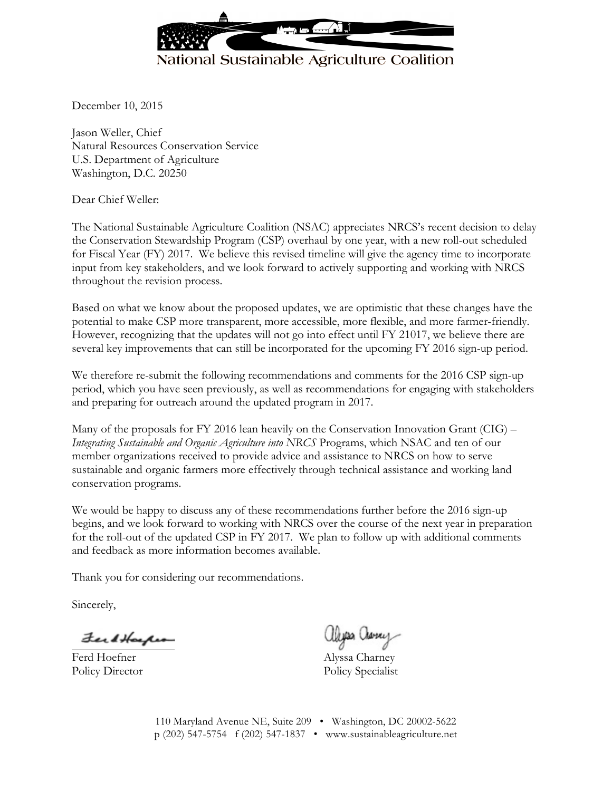

December 10, 2015

Jason Weller, Chief Natural Resources Conservation Service U.S. Department of Agriculture Washington, D.C. 20250

Dear Chief Weller:

The National Sustainable Agriculture Coalition (NSAC) appreciates NRCS's recent decision to delay the Conservation Stewardship Program (CSP) overhaul by one year, with a new roll-out scheduled for Fiscal Year (FY) 2017. We believe this revised timeline will give the agency time to incorporate input from key stakeholders, and we look forward to actively supporting and working with NRCS throughout the revision process.

Based on what we know about the proposed updates, we are optimistic that these changes have the potential to make CSP more transparent, more accessible, more flexible, and more farmer-friendly. However, recognizing that the updates will not go into effect until FY 21017, we believe there are several key improvements that can still be incorporated for the upcoming FY 2016 sign-up period.

We therefore re-submit the following recommendations and comments for the 2016 CSP sign-up period, which you have seen previously, as well as recommendations for engaging with stakeholders and preparing for outreach around the updated program in 2017.

Many of the proposals for FY 2016 lean heavily on the Conservation Innovation Grant  $(CIG)$  – *Integrating Sustainable and Organic Agriculture into NRCS* Programs, which NSAC and ten of our member organizations received to provide advice and assistance to NRCS on how to serve sustainable and organic farmers more effectively through technical assistance and working land conservation programs.

We would be happy to discuss any of these recommendations further before the 2016 sign-up begins, and we look forward to working with NRCS over the course of the next year in preparation for the roll-out of the updated CSP in FY 2017. We plan to follow up with additional comments and feedback as more information becomes available.

Thank you for considering our recommendations.

Sincerely,

FerdHacker

Ferd Hoefner Alyssa Charney

aliyas avey

Policy Director Policy Specialist

110 Maryland Avenue NE, Suite 209 • Washington, DC 20002-5622 p (202) 547-5754 f (202) 547-1837 • www.sustainableagriculture.net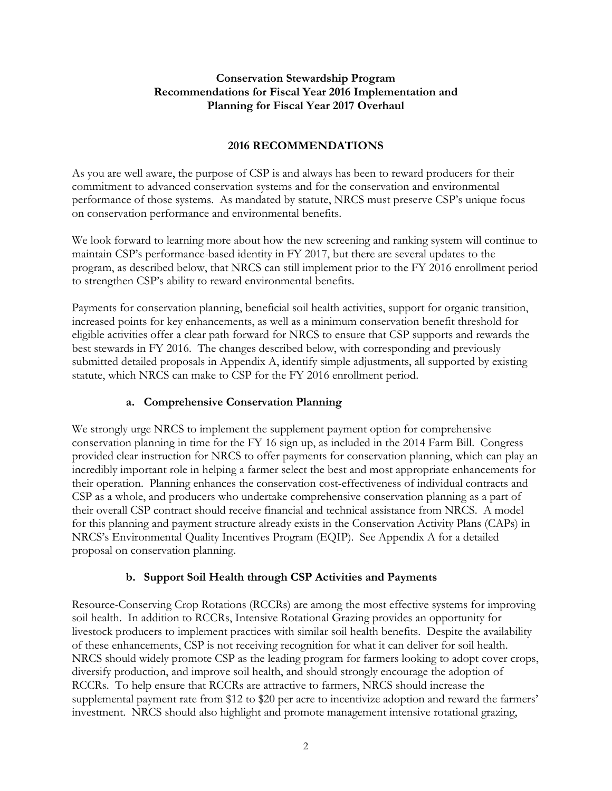## **Conservation Stewardship Program Recommendations for Fiscal Year 2016 Implementation and Planning for Fiscal Year 2017 Overhaul**

# **2016 RECOMMENDATIONS**

As you are well aware, the purpose of CSP is and always has been to reward producers for their commitment to advanced conservation systems and for the conservation and environmental performance of those systems. As mandated by statute, NRCS must preserve CSP's unique focus on conservation performance and environmental benefits.

We look forward to learning more about how the new screening and ranking system will continue to maintain CSP's performance-based identity in FY 2017, but there are several updates to the program, as described below, that NRCS can still implement prior to the FY 2016 enrollment period to strengthen CSP's ability to reward environmental benefits.

Payments for conservation planning, beneficial soil health activities, support for organic transition, increased points for key enhancements, as well as a minimum conservation benefit threshold for eligible activities offer a clear path forward for NRCS to ensure that CSP supports and rewards the best stewards in FY 2016. The changes described below, with corresponding and previously submitted detailed proposals in Appendix A, identify simple adjustments, all supported by existing statute, which NRCS can make to CSP for the FY 2016 enrollment period.

# **a. Comprehensive Conservation Planning**

We strongly urge NRCS to implement the supplement payment option for comprehensive conservation planning in time for the FY 16 sign up, as included in the 2014 Farm Bill. Congress provided clear instruction for NRCS to offer payments for conservation planning, which can play an incredibly important role in helping a farmer select the best and most appropriate enhancements for their operation. Planning enhances the conservation cost-effectiveness of individual contracts and CSP as a whole, and producers who undertake comprehensive conservation planning as a part of their overall CSP contract should receive financial and technical assistance from NRCS. A model for this planning and payment structure already exists in the Conservation Activity Plans (CAPs) in NRCS's Environmental Quality Incentives Program (EQIP). See Appendix A for a detailed proposal on conservation planning.

# **b. Support Soil Health through CSP Activities and Payments**

Resource-Conserving Crop Rotations (RCCRs) are among the most effective systems for improving soil health. In addition to RCCRs, Intensive Rotational Grazing provides an opportunity for livestock producers to implement practices with similar soil health benefits. Despite the availability of these enhancements, CSP is not receiving recognition for what it can deliver for soil health. NRCS should widely promote CSP as the leading program for farmers looking to adopt cover crops, diversify production, and improve soil health, and should strongly encourage the adoption of RCCRs. To help ensure that RCCRs are attractive to farmers, NRCS should increase the supplemental payment rate from \$12 to \$20 per acre to incentivize adoption and reward the farmers' investment. NRCS should also highlight and promote management intensive rotational grazing,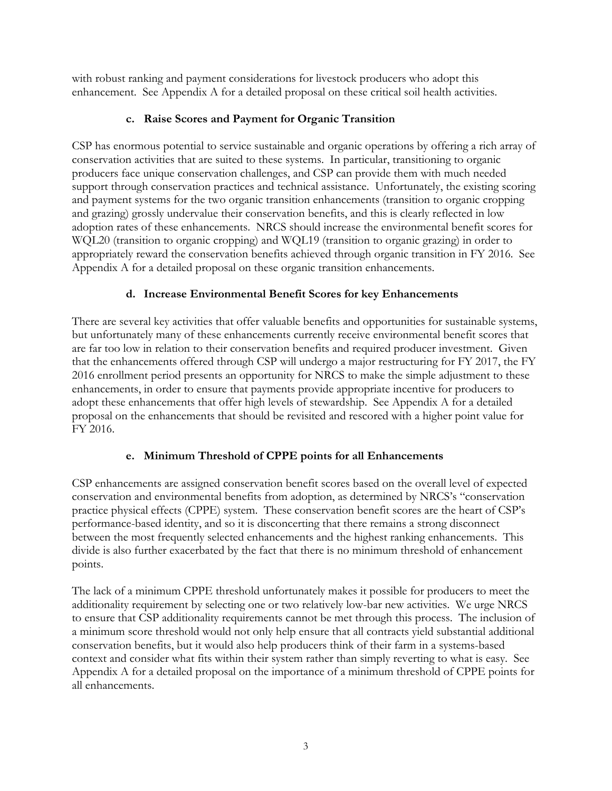with robust ranking and payment considerations for livestock producers who adopt this enhancement. See Appendix A for a detailed proposal on these critical soil health activities.

# **c. Raise Scores and Payment for Organic Transition**

CSP has enormous potential to service sustainable and organic operations by offering a rich array of conservation activities that are suited to these systems. In particular, transitioning to organic producers face unique conservation challenges, and CSP can provide them with much needed support through conservation practices and technical assistance. Unfortunately, the existing scoring and payment systems for the two organic transition enhancements (transition to organic cropping and grazing) grossly undervalue their conservation benefits, and this is clearly reflected in low adoption rates of these enhancements. NRCS should increase the environmental benefit scores for WQL20 (transition to organic cropping) and WQL19 (transition to organic grazing) in order to appropriately reward the conservation benefits achieved through organic transition in FY 2016. See Appendix A for a detailed proposal on these organic transition enhancements.

## **d. Increase Environmental Benefit Scores for key Enhancements**

There are several key activities that offer valuable benefits and opportunities for sustainable systems, but unfortunately many of these enhancements currently receive environmental benefit scores that are far too low in relation to their conservation benefits and required producer investment. Given that the enhancements offered through CSP will undergo a major restructuring for FY 2017, the FY 2016 enrollment period presents an opportunity for NRCS to make the simple adjustment to these enhancements, in order to ensure that payments provide appropriate incentive for producers to adopt these enhancements that offer high levels of stewardship. See Appendix A for a detailed proposal on the enhancements that should be revisited and rescored with a higher point value for FY 2016.

# **e. Minimum Threshold of CPPE points for all Enhancements**

CSP enhancements are assigned conservation benefit scores based on the overall level of expected conservation and environmental benefits from adoption, as determined by NRCS's "conservation practice physical effects (CPPE) system. These conservation benefit scores are the heart of CSP's performance-based identity, and so it is disconcerting that there remains a strong disconnect between the most frequently selected enhancements and the highest ranking enhancements. This divide is also further exacerbated by the fact that there is no minimum threshold of enhancement points.

The lack of a minimum CPPE threshold unfortunately makes it possible for producers to meet the additionality requirement by selecting one or two relatively low-bar new activities. We urge NRCS to ensure that CSP additionality requirements cannot be met through this process. The inclusion of a minimum score threshold would not only help ensure that all contracts yield substantial additional conservation benefits, but it would also help producers think of their farm in a systems-based context and consider what fits within their system rather than simply reverting to what is easy. See Appendix A for a detailed proposal on the importance of a minimum threshold of CPPE points for all enhancements.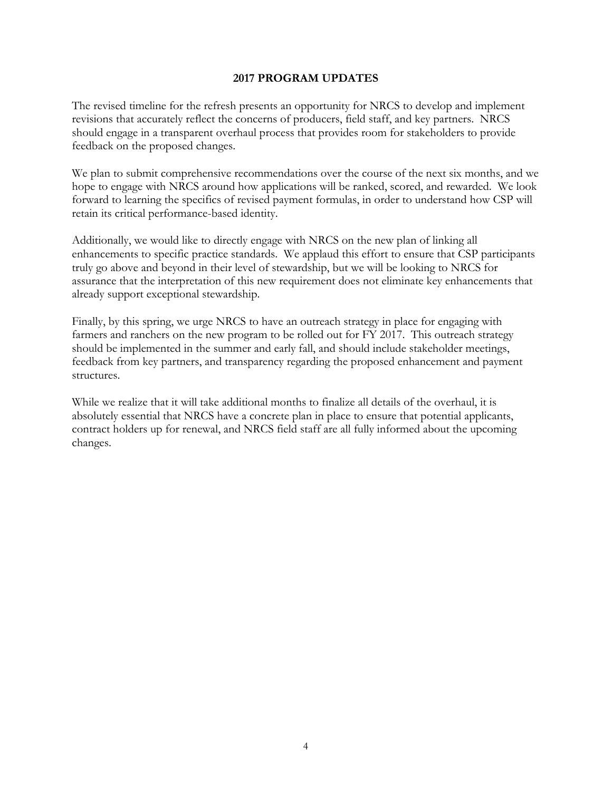#### **2017 PROGRAM UPDATES**

The revised timeline for the refresh presents an opportunity for NRCS to develop and implement revisions that accurately reflect the concerns of producers, field staff, and key partners. NRCS should engage in a transparent overhaul process that provides room for stakeholders to provide feedback on the proposed changes.

We plan to submit comprehensive recommendations over the course of the next six months, and we hope to engage with NRCS around how applications will be ranked, scored, and rewarded. We look forward to learning the specifics of revised payment formulas, in order to understand how CSP will retain its critical performance-based identity.

Additionally, we would like to directly engage with NRCS on the new plan of linking all enhancements to specific practice standards. We applaud this effort to ensure that CSP participants truly go above and beyond in their level of stewardship, but we will be looking to NRCS for assurance that the interpretation of this new requirement does not eliminate key enhancements that already support exceptional stewardship.

Finally, by this spring, we urge NRCS to have an outreach strategy in place for engaging with farmers and ranchers on the new program to be rolled out for FY 2017. This outreach strategy should be implemented in the summer and early fall, and should include stakeholder meetings, feedback from key partners, and transparency regarding the proposed enhancement and payment structures.

While we realize that it will take additional months to finalize all details of the overhaul, it is absolutely essential that NRCS have a concrete plan in place to ensure that potential applicants, contract holders up for renewal, and NRCS field staff are all fully informed about the upcoming changes.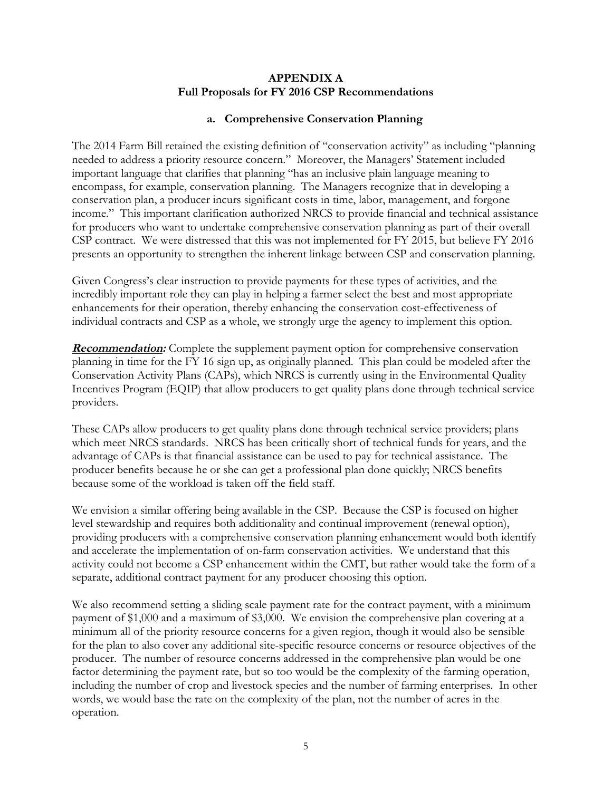## **APPENDIX A Full Proposals for FY 2016 CSP Recommendations**

## **a. Comprehensive Conservation Planning**

The 2014 Farm Bill retained the existing definition of "conservation activity" as including "planning needed to address a priority resource concern." Moreover, the Managers' Statement included important language that clarifies that planning "has an inclusive plain language meaning to encompass, for example, conservation planning. The Managers recognize that in developing a conservation plan, a producer incurs significant costs in time, labor, management, and forgone income." This important clarification authorized NRCS to provide financial and technical assistance for producers who want to undertake comprehensive conservation planning as part of their overall CSP contract. We were distressed that this was not implemented for FY 2015, but believe FY 2016 presents an opportunity to strengthen the inherent linkage between CSP and conservation planning.

Given Congress's clear instruction to provide payments for these types of activities, and the incredibly important role they can play in helping a farmer select the best and most appropriate enhancements for their operation, thereby enhancing the conservation cost-effectiveness of individual contracts and CSP as a whole, we strongly urge the agency to implement this option.

**Recommendation:** Complete the supplement payment option for comprehensive conservation planning in time for the FY 16 sign up, as originally planned. This plan could be modeled after the Conservation Activity Plans (CAPs), which NRCS is currently using in the Environmental Quality Incentives Program (EQIP) that allow producers to get quality plans done through technical service providers.

These CAPs allow producers to get quality plans done through technical service providers; plans which meet NRCS standards. NRCS has been critically short of technical funds for years, and the advantage of CAPs is that financial assistance can be used to pay for technical assistance. The producer benefits because he or she can get a professional plan done quickly; NRCS benefits because some of the workload is taken off the field staff.

We envision a similar offering being available in the CSP. Because the CSP is focused on higher level stewardship and requires both additionality and continual improvement (renewal option), providing producers with a comprehensive conservation planning enhancement would both identify and accelerate the implementation of on-farm conservation activities. We understand that this activity could not become a CSP enhancement within the CMT, but rather would take the form of a separate, additional contract payment for any producer choosing this option.

We also recommend setting a sliding scale payment rate for the contract payment, with a minimum payment of \$1,000 and a maximum of \$3,000. We envision the comprehensive plan covering at a minimum all of the priority resource concerns for a given region, though it would also be sensible for the plan to also cover any additional site-specific resource concerns or resource objectives of the producer. The number of resource concerns addressed in the comprehensive plan would be one factor determining the payment rate, but so too would be the complexity of the farming operation, including the number of crop and livestock species and the number of farming enterprises. In other words, we would base the rate on the complexity of the plan, not the number of acres in the operation.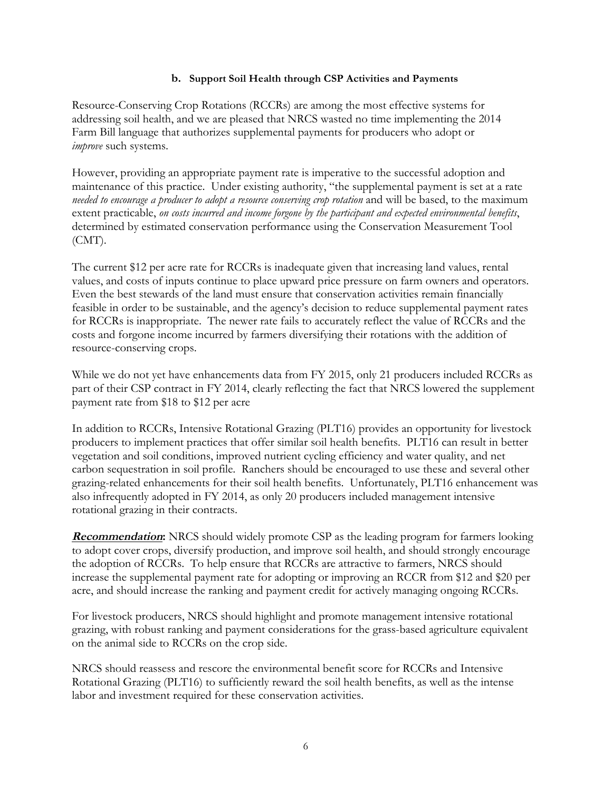### **b. Support Soil Health through CSP Activities and Payments**

Resource-Conserving Crop Rotations (RCCRs) are among the most effective systems for addressing soil health, and we are pleased that NRCS wasted no time implementing the 2014 Farm Bill language that authorizes supplemental payments for producers who adopt or *improve* such systems.

However, providing an appropriate payment rate is imperative to the successful adoption and maintenance of this practice. Under existing authority, "the supplemental payment is set at a rate *needed to encourage a producer to adopt a resource conserving crop rotation* and will be based, to the maximum extent practicable, *on costs incurred and income forgone by the participant and expected environmental benefits*, determined by estimated conservation performance using the Conservation Measurement Tool  $(CMT)$ .

The current \$12 per acre rate for RCCRs is inadequate given that increasing land values, rental values, and costs of inputs continue to place upward price pressure on farm owners and operators. Even the best stewards of the land must ensure that conservation activities remain financially feasible in order to be sustainable, and the agency's decision to reduce supplemental payment rates for RCCRs is inappropriate. The newer rate fails to accurately reflect the value of RCCRs and the costs and forgone income incurred by farmers diversifying their rotations with the addition of resource-conserving crops.

While we do not yet have enhancements data from FY 2015, only 21 producers included RCCRs as part of their CSP contract in FY 2014, clearly reflecting the fact that NRCS lowered the supplement payment rate from \$18 to \$12 per acre

In addition to RCCRs, Intensive Rotational Grazing (PLT16) provides an opportunity for livestock producers to implement practices that offer similar soil health benefits. PLT16 can result in better vegetation and soil conditions, improved nutrient cycling efficiency and water quality, and net carbon sequestration in soil profile. Ranchers should be encouraged to use these and several other grazing-related enhancements for their soil health benefits. Unfortunately, PLT16 enhancement was also infrequently adopted in FY 2014, as only 20 producers included management intensive rotational grazing in their contracts.

**Recommendation:** NRCS should widely promote CSP as the leading program for farmers looking to adopt cover crops, diversify production, and improve soil health, and should strongly encourage the adoption of RCCRs. To help ensure that RCCRs are attractive to farmers, NRCS should increase the supplemental payment rate for adopting or improving an RCCR from \$12 and \$20 per acre, and should increase the ranking and payment credit for actively managing ongoing RCCRs.

For livestock producers, NRCS should highlight and promote management intensive rotational grazing, with robust ranking and payment considerations for the grass-based agriculture equivalent on the animal side to RCCRs on the crop side.

NRCS should reassess and rescore the environmental benefit score for RCCRs and Intensive Rotational Grazing (PLT16) to sufficiently reward the soil health benefits, as well as the intense labor and investment required for these conservation activities.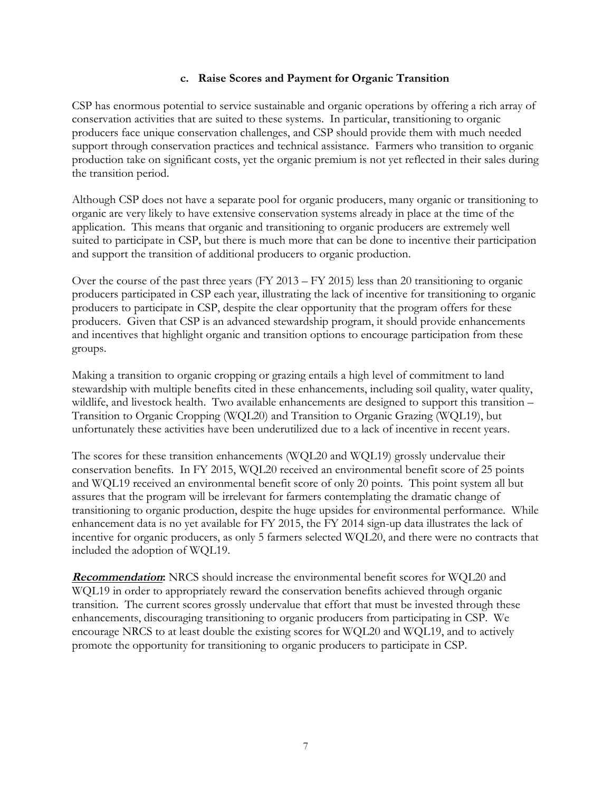## **c. Raise Scores and Payment for Organic Transition**

CSP has enormous potential to service sustainable and organic operations by offering a rich array of conservation activities that are suited to these systems. In particular, transitioning to organic producers face unique conservation challenges, and CSP should provide them with much needed support through conservation practices and technical assistance. Farmers who transition to organic production take on significant costs, yet the organic premium is not yet reflected in their sales during the transition period.

Although CSP does not have a separate pool for organic producers, many organic or transitioning to organic are very likely to have extensive conservation systems already in place at the time of the application. This means that organic and transitioning to organic producers are extremely well suited to participate in CSP, but there is much more that can be done to incentive their participation and support the transition of additional producers to organic production.

Over the course of the past three years (FY 2013 – FY 2015) less than 20 transitioning to organic producers participated in CSP each year, illustrating the lack of incentive for transitioning to organic producers to participate in CSP, despite the clear opportunity that the program offers for these producers. Given that CSP is an advanced stewardship program, it should provide enhancements and incentives that highlight organic and transition options to encourage participation from these groups.

Making a transition to organic cropping or grazing entails a high level of commitment to land stewardship with multiple benefits cited in these enhancements, including soil quality, water quality, wildlife, and livestock health. Two available enhancements are designed to support this transition – Transition to Organic Cropping (WQL20) and Transition to Organic Grazing (WQL19), but unfortunately these activities have been underutilized due to a lack of incentive in recent years.

The scores for these transition enhancements (WQL20 and WQL19) grossly undervalue their conservation benefits. In FY 2015, WQL20 received an environmental benefit score of 25 points and WQL19 received an environmental benefit score of only 20 points. This point system all but assures that the program will be irrelevant for farmers contemplating the dramatic change of transitioning to organic production, despite the huge upsides for environmental performance. While enhancement data is no yet available for FY 2015, the FY 2014 sign-up data illustrates the lack of incentive for organic producers, as only 5 farmers selected WQL20, and there were no contracts that included the adoption of WQL19.

**Recommendation:** NRCS should increase the environmental benefit scores for WQL20 and WQL19 in order to appropriately reward the conservation benefits achieved through organic transition. The current scores grossly undervalue that effort that must be invested through these enhancements, discouraging transitioning to organic producers from participating in CSP. We encourage NRCS to at least double the existing scores for WQL20 and WQL19, and to actively promote the opportunity for transitioning to organic producers to participate in CSP.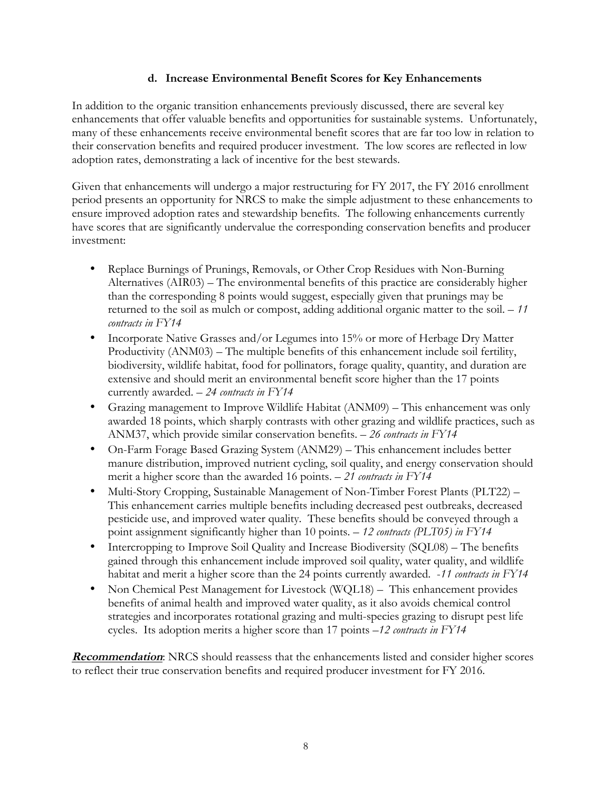## **d. Increase Environmental Benefit Scores for Key Enhancements**

In addition to the organic transition enhancements previously discussed, there are several key enhancements that offer valuable benefits and opportunities for sustainable systems. Unfortunately, many of these enhancements receive environmental benefit scores that are far too low in relation to their conservation benefits and required producer investment. The low scores are reflected in low adoption rates, demonstrating a lack of incentive for the best stewards.

Given that enhancements will undergo a major restructuring for FY 2017, the FY 2016 enrollment period presents an opportunity for NRCS to make the simple adjustment to these enhancements to ensure improved adoption rates and stewardship benefits. The following enhancements currently have scores that are significantly undervalue the corresponding conservation benefits and producer investment:

- Replace Burnings of Prunings, Removals, or Other Crop Residues with Non-Burning Alternatives (AIR03) – The environmental benefits of this practice are considerably higher than the corresponding 8 points would suggest, especially given that prunings may be returned to the soil as mulch or compost, adding additional organic matter to the soil. – *11 contracts in FY14*
- Incorporate Native Grasses and/or Legumes into 15% or more of Herbage Dry Matter Productivity (ANM03) – The multiple benefits of this enhancement include soil fertility, biodiversity, wildlife habitat, food for pollinators, forage quality, quantity, and duration are extensive and should merit an environmental benefit score higher than the 17 points currently awarded. – *24 contracts in FY14*
- Grazing management to Improve Wildlife Habitat (ANM09) This enhancement was only awarded 18 points, which sharply contrasts with other grazing and wildlife practices, such as ANM37, which provide similar conservation benefits. – *26 contracts in FY14*
- On-Farm Forage Based Grazing System (ANM29) This enhancement includes better manure distribution, improved nutrient cycling, soil quality, and energy conservation should merit a higher score than the awarded 16 points. *– 21 contracts in FY14*
- Multi-Story Cropping, Sustainable Management of Non-Timber Forest Plants (PLT22) This enhancement carries multiple benefits including decreased pest outbreaks, decreased pesticide use, and improved water quality. These benefits should be conveyed through a point assignment significantly higher than 10 points. – *12 contracts (PLT05) in FY14*
- Intercropping to Improve Soil Quality and Increase Biodiversity (SQL08) The benefits gained through this enhancement include improved soil quality, water quality, and wildlife habitat and merit a higher score than the 24 points currently awarded. -*11 contracts in FY14*
- Non Chemical Pest Management for Livestock (WQL18) This enhancement provides benefits of animal health and improved water quality, as it also avoids chemical control strategies and incorporates rotational grazing and multi-species grazing to disrupt pest life cycles. Its adoption merits a higher score than 17 points *–12 contracts in FY14*

**Recommendation**: NRCS should reassess that the enhancements listed and consider higher scores to reflect their true conservation benefits and required producer investment for FY 2016.